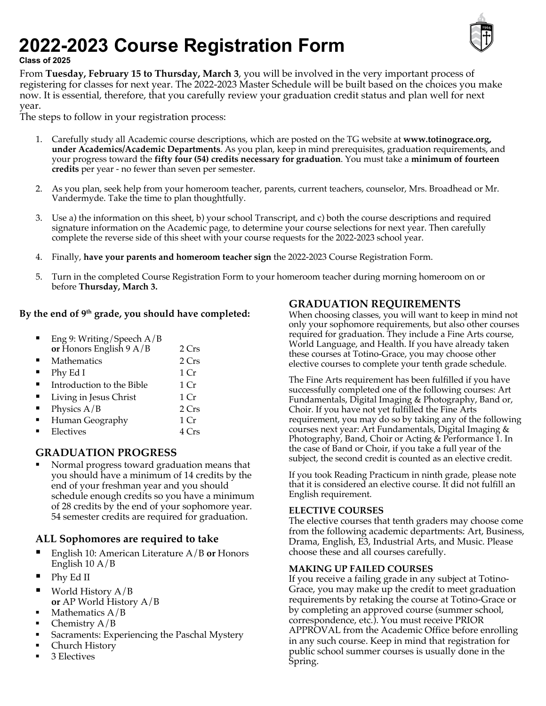# **2022-2023 Course Registration Form Class of 2025**



From **Tuesday, February 15 to Thursday, March 3**, you will be involved in the very important process of registering for classes for next year. The 2022-2023 Master Schedule will be built based on the choices you make now. It is essential, therefore, that you carefully review your graduation credit status and plan well for next year.

The steps to follow in your registration process:

- 1. Carefully study all Academic course descriptions, which are posted on the TG website at **www.totinograce.org, under Academics/Academic Departments**. As you plan, keep in mind prerequisites, graduation requirements, and your progress toward the **fifty four (54) credits necessary for graduation**. You must take a **minimum of fourteen credits** per year - no fewer than seven per semester.
- 2. As you plan, seek help from your homeroom teacher, parents, current teachers, counselor, Mrs. Broadhead or Mr. Vandermyde. Take the time to plan thoughtfully.
- 3. Use a) the information on this sheet, b) your school Transcript, and c) both the course descriptions and required signature information on the Academic page, to determine your course selections for next year. Then carefully complete the reverse side of this sheet with your course requests for the 2022-2023 school year.
- 4. Finally, **have your parents and homeroom teacher sign** the 2022-2023 Course Registration Form.
- 5. Turn in the completed Course Registration Form to your homeroom teacher during morning homeroom on or before **Thursday, March 3.**

#### **By the end of 9th grade, you should have completed:**

| Eng 9: Writing/Speech A/B<br>or Honors English 9 A/B | 2 Crs           |
|------------------------------------------------------|-----------------|
| Mathematics                                          | 2 Crs           |
| Phy Ed I                                             | 1 Cr            |
| Introduction to the Bible                            | 1 Cr            |
| Living in Jesus Christ                               | 1 <sub>Cr</sub> |
| Physics $A/B$                                        | 2 Crs           |
| Human Geography                                      | 1 <sub>Cr</sub> |
| Electives                                            | $4$ Crs         |

#### **GRADUATION PROGRESS**

§ Normal progress toward graduation means that you should have a minimum of 14 credits by the end of your freshman year and you should schedule enough credits so you have a minimum of 28 credits by the end of your sophomore year. 54 semester credits are required for graduation.

#### ALL Sophomores are required to take

- § English 10: American Literature A/B **or** Honors English 10 A/B
- § Phy Ed II
- World History  $A/B$ **or** AP World History A/B
- § Mathematics A/B
- § Chemistry A/B
- § Sacraments: Experiencing the Paschal Mystery
- § Church History
- § 3 Electives

#### **GRADUATION REQUIREMENTS**

When choosing classes, you will want to keep in mind not only your sophomore requirements, but also other courses required for graduation. They include a Fine Arts course, World Language, and Health. If you have already taken these courses at Totino-Grace, you may choose other elective courses to complete your tenth grade schedule.

The Fine Arts requirement has been fulfilled if you have successfully completed one of the following courses: Art Fundamentals, Digital Imaging & Photography, Band or, Choir. If you have not yet fulfilled the Fine Arts requirement, you may do so by taking any of the following courses next year: Art Fundamentals, Digital Imaging & Photography, Band, Choir or Acting & Performance 1. In the case of Band or Choir, if you take a full year of the subject, the second credit is counted as an elective credit.

If you took Reading Practicum in ninth grade, please note that it is considered an elective course. It did not fulfill an English requirement.

#### **ELECTIVE COURSES**

The elective courses that tenth graders may choose come from the following academic departments: Art, Business, Drama, English, E3, Industrial Arts, and Music. Please choose these and all courses carefully.

#### **MAKING UP FAILED COURSES**

If you receive a failing grade in any subject at Totino-Grace, you may make up the credit to meet graduation requirements by retaking the course at Totino-Grace or by completing an approved course (summer school, correspondence, etc.). You must receive PRIOR APPROVAL from the Academic Office before enrolling in any such course. Keep in mind that registration for public school summer courses is usually done in the Spring.